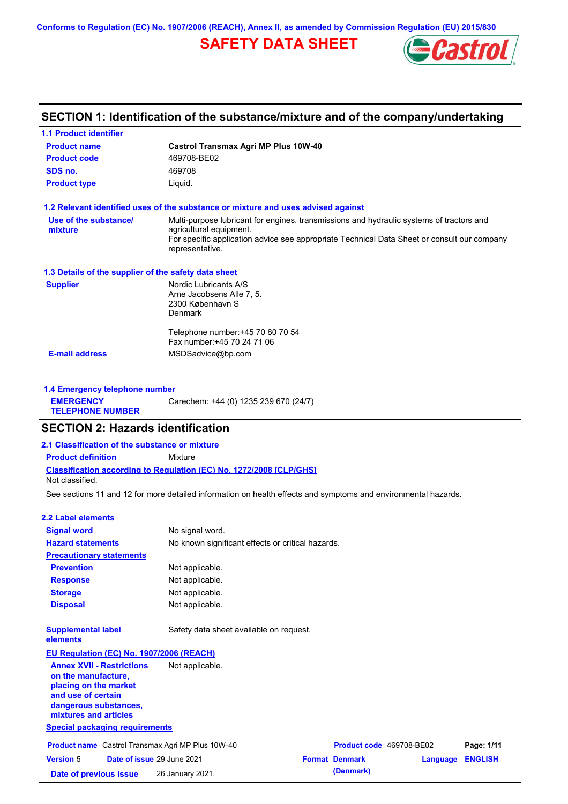**Conforms to Regulation (EC) No. 1907/2006 (REACH), Annex II, as amended by Commission Regulation (EU) 2015/830**

# **SAFETY DATA SHEET**



# **SECTION 1: Identification of the substance/mixture and of the company/undertaking**

| <b>1.1 Product identifier</b>                        |                                                                                                                                                                                                                                       |
|------------------------------------------------------|---------------------------------------------------------------------------------------------------------------------------------------------------------------------------------------------------------------------------------------|
| <b>Product name</b>                                  | <b>Castrol Transmax Agri MP Plus 10W-40</b>                                                                                                                                                                                           |
| <b>Product code</b>                                  | 469708-BE02                                                                                                                                                                                                                           |
| SDS no.                                              | 469708                                                                                                                                                                                                                                |
| <b>Product type</b>                                  | Liquid.                                                                                                                                                                                                                               |
|                                                      | 1.2 Relevant identified uses of the substance or mixture and uses advised against                                                                                                                                                     |
| Use of the substance/<br>mixture                     | Multi-purpose lubricant for engines, transmissions and hydraulic systems of tractors and<br>agricultural equipment.<br>For specific application advice see appropriate Technical Data Sheet or consult our company<br>representative. |
| 1.3 Details of the supplier of the safety data sheet |                                                                                                                                                                                                                                       |
| <b>Supplier</b>                                      | Nordic Lubricants A/S<br>Arne Jacobsens Alle 7, 5.<br>2300 København S<br>Denmark                                                                                                                                                     |
|                                                      | Telephone number: +45 70 80 70 54<br>Fax number: +45 70 24 71 06                                                                                                                                                                      |
| <b>E-mail address</b>                                | MSDSadvice@bp.com                                                                                                                                                                                                                     |
|                                                      |                                                                                                                                                                                                                                       |
| 1.4 Emergency telephone number                       |                                                                                                                                                                                                                                       |
| <b>EMERGENCY</b><br><b>TELEPHONE NUMBER</b>          | Carechem: +44 (0) 1235 239 670 (24/7)                                                                                                                                                                                                 |
| <b>SECTION 2: Hazards identification</b>             |                                                                                                                                                                                                                                       |
| 2.1 Classification of the substance or mixture       |                                                                                                                                                                                                                                       |
| <b>Product definition</b>                            | Mixture                                                                                                                                                                                                                               |
|                                                      | Classification according to Regulation (EC) No. 1272/2008 [CLP/GHS]                                                                                                                                                                   |
| Not classified.                                      |                                                                                                                                                                                                                                       |
|                                                      | See sections 11 and 12 for more detailed information on health effects and symptoms and environmental hazards.                                                                                                                        |
| <b>2.2 Label elements</b>                            |                                                                                                                                                                                                                                       |
| <b>Signal word</b>                                   | No signal word.                                                                                                                                                                                                                       |
| <b>Hazard statements</b>                             | No known significant effects or critical hazards.                                                                                                                                                                                     |
| <b>Precautionary statements</b>                      |                                                                                                                                                                                                                                       |
| <b>Prevention</b>                                    | Not applicable.                                                                                                                                                                                                                       |
| <b>Response</b>                                      | Not applicable.                                                                                                                                                                                                                       |
| <b>Storage</b>                                       | Not applicable.                                                                                                                                                                                                                       |
| <b>Disposal</b>                                      | Not applicable.                                                                                                                                                                                                                       |
| <b>Supplemental label</b><br>elements                | Safety data sheet available on request.                                                                                                                                                                                               |

#### **EU Regulation (EC) No. 1907/2006 (REACH) Annex XVII - Restrictions on the manufacture, placing on the market**  Not applicable.

**and use of certain dangerous substances, mixtures and articles**

**Special packaging requirements**

| <b>Product name</b> Castrol Transmax Agri MP Plus 10W-40 |  | <b>Product code</b> 469708-BE02   | Page: 1/11            |                         |  |
|----------------------------------------------------------|--|-----------------------------------|-----------------------|-------------------------|--|
| <b>Version 5</b>                                         |  | <b>Date of issue 29 June 2021</b> | <b>Format Denmark</b> | <b>Language ENGLISH</b> |  |
| Date of previous issue                                   |  | 26 January 2021.                  | (Denmark)             |                         |  |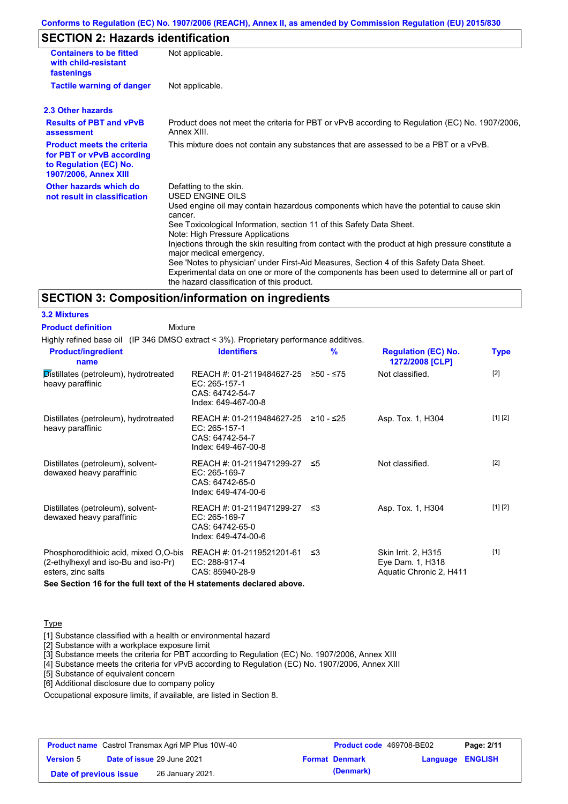#### **Conforms to Regulation (EC) No. 1907/2006 (REACH), Annex II, as amended by Commission Regulation (EU) 2015/830**

# **SECTION 2: Hazards identification**

| <b>Containers to be fitted</b><br>with child-resistant<br>fastenings                                                     | Not applicable.                                                                                                                                                                                                                                                                                                                                                                                                                                                                                                                                                                                                                        |  |  |
|--------------------------------------------------------------------------------------------------------------------------|----------------------------------------------------------------------------------------------------------------------------------------------------------------------------------------------------------------------------------------------------------------------------------------------------------------------------------------------------------------------------------------------------------------------------------------------------------------------------------------------------------------------------------------------------------------------------------------------------------------------------------------|--|--|
| <b>Tactile warning of danger</b>                                                                                         | Not applicable.                                                                                                                                                                                                                                                                                                                                                                                                                                                                                                                                                                                                                        |  |  |
| 2.3 Other hazards                                                                                                        |                                                                                                                                                                                                                                                                                                                                                                                                                                                                                                                                                                                                                                        |  |  |
| <b>Results of PBT and vPvB</b><br>assessment                                                                             | Product does not meet the criteria for PBT or vPvB according to Regulation (EC) No. 1907/2006,<br>Annex XIII                                                                                                                                                                                                                                                                                                                                                                                                                                                                                                                           |  |  |
| <b>Product meets the criteria</b><br>for PBT or vPvB according<br>to Regulation (EC) No.<br><b>1907/2006, Annex XIII</b> | This mixture does not contain any substances that are assessed to be a PBT or a vPvB.                                                                                                                                                                                                                                                                                                                                                                                                                                                                                                                                                  |  |  |
| Other hazards which do<br>not result in classification                                                                   | Defatting to the skin.<br>USED ENGINE OILS<br>Used engine oil may contain hazardous components which have the potential to cause skin<br>cancer.<br>See Toxicological Information, section 11 of this Safety Data Sheet.<br>Note: High Pressure Applications<br>Injections through the skin resulting from contact with the product at high pressure constitute a<br>major medical emergency.<br>See 'Notes to physician' under First-Aid Measures, Section 4 of this Safety Data Sheet.<br>Experimental data on one or more of the components has been used to determine all or part of<br>the hazard classification of this product. |  |  |

#### **SECTION 3: Composition/information on ingredients**

Mixture

**3.2 Mixtures Product definition**

| Highly refined base oil (IP 346 DMSO extract < 3%). Proprietary performance additives.              |                                                                                                  |   |                                                                    |             |
|-----------------------------------------------------------------------------------------------------|--------------------------------------------------------------------------------------------------|---|--------------------------------------------------------------------|-------------|
| <b>Product/ingredient</b><br>name                                                                   | <b>Identifiers</b>                                                                               | % | <b>Regulation (EC) No.</b><br>1272/2008 [CLP]                      | <b>Type</b> |
| Distillates (petroleum), hydrotreated<br>heavy paraffinic                                           | REACH #: 01-2119484627-25 ≥50 - ≤75<br>EC: 265-157-1<br>CAS: 64742-54-7<br>Index: 649-467-00-8   |   | Not classified.                                                    | $[2]$       |
| Distillates (petroleum), hydrotreated<br>heavy paraffinic                                           | REACH #: 01-2119484627-25 ≥10 - ≤25<br>$EC: 265-157-1$<br>CAS: 64742-54-7<br>Index: 649-467-00-8 |   | Asp. Tox. 1, H304                                                  | [1] [2]     |
| Distillates (petroleum), solvent-<br>dewaxed heavy paraffinic                                       | REACH #: 01-2119471299-27 ≤5<br>EC: 265-169-7<br>CAS: 64742-65-0<br>Index: 649-474-00-6          |   | Not classified.                                                    | $[2]$       |
| Distillates (petroleum), solvent-<br>dewaxed heavy paraffinic                                       | REACH #: 01-2119471299-27 ≤3<br>EC: 265-169-7<br>CAS: 64742-65-0<br>Index: 649-474-00-6          |   | Asp. Tox. 1, H304                                                  | [1] [2]     |
| Phosphorodithioic acid, mixed O,O-bis<br>(2-ethylhexyl and iso-Bu and iso-Pr)<br>esters, zinc salts | REACH #: 01-2119521201-61 ≤3<br>EC: 288-917-4<br>CAS: 85940-28-9                                 |   | Skin Irrit. 2, H315<br>Eye Dam. 1, H318<br>Aquatic Chronic 2, H411 | $[1]$       |
| See Section 16 for the full text of the H statements declared above.                                |                                                                                                  |   |                                                                    |             |

**Type** 

[1] Substance classified with a health or environmental hazard

[2] Substance with a workplace exposure limit

[3] Substance meets the criteria for PBT according to Regulation (EC) No. 1907/2006, Annex XIII

[4] Substance meets the criteria for vPvB according to Regulation (EC) No. 1907/2006, Annex XIII

[5] Substance of equivalent concern

[6] Additional disclosure due to company policy

Occupational exposure limits, if available, are listed in Section 8.

| <b>Product name</b> Castrol Transmax Agri MP Plus 10W-40 |                            | <b>Product code</b> 469708-BE02 |  | Page: 2/11       |
|----------------------------------------------------------|----------------------------|---------------------------------|--|------------------|
| <b>Version 5</b>                                         | Date of issue 29 June 2021 | <b>Format Denmark</b>           |  | Language ENGLISH |
| Date of previous issue                                   | 26 January 2021.           | (Denmark)                       |  |                  |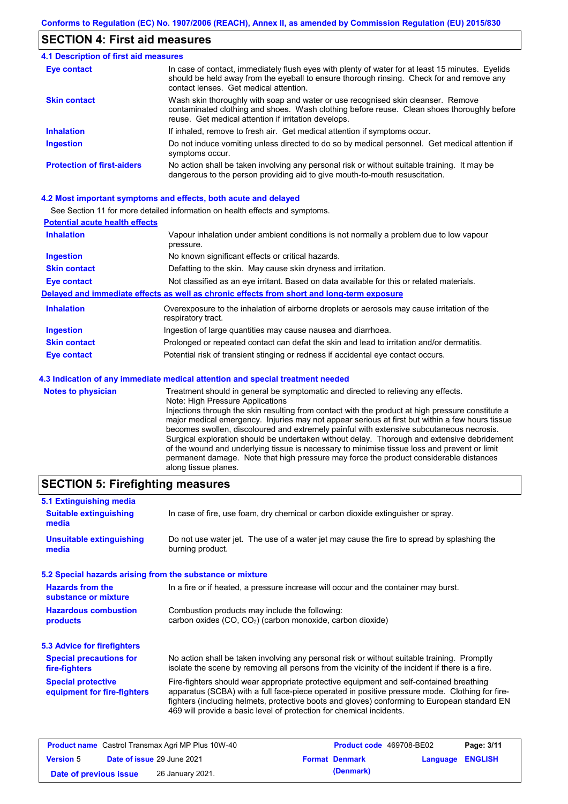### **SECTION 4: First aid measures**

#### Do not induce vomiting unless directed to do so by medical personnel. Get medical attention if symptoms occur. In case of contact, immediately flush eyes with plenty of water for at least 15 minutes. Eyelids should be held away from the eyeball to ensure thorough rinsing. Check for and remove any contact lenses. Get medical attention. **4.1 Description of first aid measures** If inhaled, remove to fresh air. Get medical attention if symptoms occur. **Ingestion Inhalation Eye contact Protection of first-aiders** No action shall be taken involving any personal risk or without suitable training. It may be dangerous to the person providing aid to give mouth-to-mouth resuscitation. **Skin contact** Wash skin thoroughly with soap and water or use recognised skin cleanser. Remove contaminated clothing and shoes. Wash clothing before reuse. Clean shoes thoroughly before reuse. Get medical attention if irritation develops.

#### **4.2 Most important symptoms and effects, both acute and delayed**

See Section 11 for more detailed information on health effects and symptoms.

| <b>Potential acute health effects</b> |                                                                                                                   |
|---------------------------------------|-------------------------------------------------------------------------------------------------------------------|
| <b>Inhalation</b>                     | Vapour inhalation under ambient conditions is not normally a problem due to low vapour<br>pressure.               |
| <b>Ingestion</b>                      | No known significant effects or critical hazards.                                                                 |
| <b>Skin contact</b>                   | Defatting to the skin. May cause skin dryness and irritation.                                                     |
| <b>Eye contact</b>                    | Not classified as an eye irritant. Based on data available for this or related materials.                         |
|                                       | Delayed and immediate effects as well as chronic effects from short and long-term exposure                        |
| <b>Inhalation</b>                     | Overexposure to the inhalation of airborne droplets or aerosols may cause irritation of the<br>respiratory tract. |
| <b>Ingestion</b>                      | Ingestion of large quantities may cause nausea and diarrhoea.                                                     |
| <b>Skin contact</b>                   | Prolonged or repeated contact can defat the skin and lead to irritation and/or dermatitis.                        |
| Eye contact                           | Potential risk of transient stinging or redness if accidental eye contact occurs.                                 |
|                                       | 4.3 Indication of any immediate medical attention and special treatment needed                                    |
| Notes to physician                    | Treatment should in general he symptomatic and directed to relieving any effects                                  |

**Notes to physician** Treatment should in general be symptomatic and directed to relieving any effects. Note: High Pressure Applications Injections through the skin resulting from contact with the product at high pressure constitute a major medical emergency. Injuries may not appear serious at first but within a few hours tissue becomes swollen, discoloured and extremely painful with extensive subcutaneous necrosis. Surgical exploration should be undertaken without delay. Thorough and extensive debridement of the wound and underlying tissue is necessary to minimise tissue loss and prevent or limit permanent damage. Note that high pressure may force the product considerable distances along tissue planes.

### **SECTION 5: Firefighting measures**

| 5.1 Extinguishing media                                   |                                                                                                                                                                                                                                                                                                                                                                   |
|-----------------------------------------------------------|-------------------------------------------------------------------------------------------------------------------------------------------------------------------------------------------------------------------------------------------------------------------------------------------------------------------------------------------------------------------|
| <b>Suitable extinguishing</b><br>media                    | In case of fire, use foam, dry chemical or carbon dioxide extinguisher or spray.                                                                                                                                                                                                                                                                                  |
| <b>Unsuitable extinguishing</b><br>media                  | Do not use water jet. The use of a water jet may cause the fire to spread by splashing the<br>burning product.                                                                                                                                                                                                                                                    |
| 5.2 Special hazards arising from the substance or mixture |                                                                                                                                                                                                                                                                                                                                                                   |
| <b>Hazards from the</b><br>substance or mixture           | In a fire or if heated, a pressure increase will occur and the container may burst.                                                                                                                                                                                                                                                                               |
| <b>Hazardous combustion</b><br>products                   | Combustion products may include the following:<br>carbon oxides (CO, CO <sub>2</sub> ) (carbon monoxide, carbon dioxide)                                                                                                                                                                                                                                          |
| 5.3 Advice for firefighters                               |                                                                                                                                                                                                                                                                                                                                                                   |
| <b>Special precautions for</b><br>fire-fighters           | No action shall be taken involving any personal risk or without suitable training. Promptly<br>isolate the scene by removing all persons from the vicinity of the incident if there is a fire.                                                                                                                                                                    |
| <b>Special protective</b><br>equipment for fire-fighters  | Fire-fighters should wear appropriate protective equipment and self-contained breathing<br>apparatus (SCBA) with a full face-piece operated in positive pressure mode. Clothing for fire-<br>fighters (including helmets, protective boots and gloves) conforming to European standard EN<br>469 will provide a basic level of protection for chemical incidents. |

| <b>Product name</b> Castrol Transmax Agri MP Plus 10W-40 |  | <b>Product code</b> 469708-BE02 |  | Page: 3/11            |                  |  |
|----------------------------------------------------------|--|---------------------------------|--|-----------------------|------------------|--|
| <b>Version 5</b>                                         |  | Date of issue 29 June 2021      |  | <b>Format Denmark</b> | Language ENGLISH |  |
| Date of previous issue                                   |  | 26 January 2021.                |  | (Denmark)             |                  |  |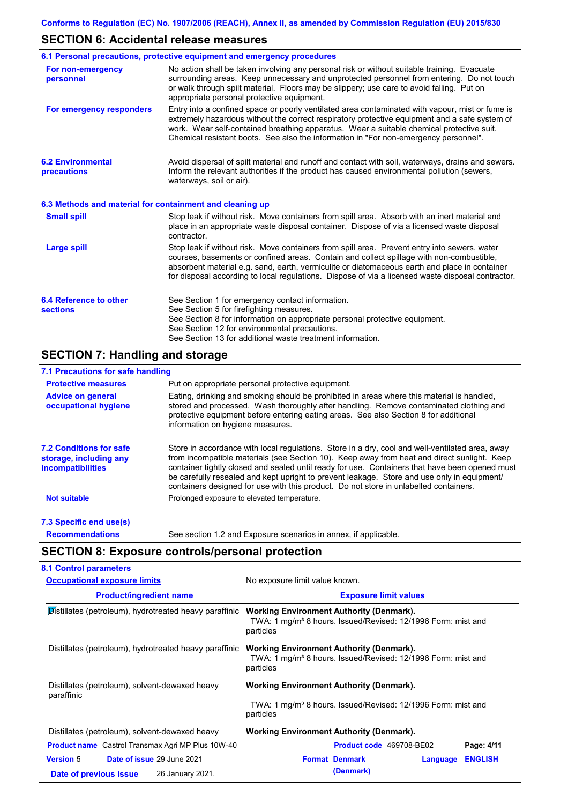## **SECTION 6: Accidental release measures**

|                                                          | 6.1 Personal precautions, protective equipment and emergency procedures                                                                                                                                                                                                                                                                                                                        |  |  |  |
|----------------------------------------------------------|------------------------------------------------------------------------------------------------------------------------------------------------------------------------------------------------------------------------------------------------------------------------------------------------------------------------------------------------------------------------------------------------|--|--|--|
| For non-emergency<br>personnel                           | No action shall be taken involving any personal risk or without suitable training. Evacuate<br>surrounding areas. Keep unnecessary and unprotected personnel from entering. Do not touch<br>or walk through spilt material. Floors may be slippery; use care to avoid falling. Put on<br>appropriate personal protective equipment.                                                            |  |  |  |
| For emergency responders                                 | Entry into a confined space or poorly ventilated area contaminated with vapour, mist or fume is<br>extremely hazardous without the correct respiratory protective equipment and a safe system of<br>work. Wear self-contained breathing apparatus. Wear a suitable chemical protective suit.<br>Chemical resistant boots. See also the information in "For non-emergency personnel".           |  |  |  |
| <b>6.2 Environmental</b><br>precautions                  | Avoid dispersal of spilt material and runoff and contact with soil, waterways, drains and sewers.<br>Inform the relevant authorities if the product has caused environmental pollution (sewers,<br>waterways, soil or air).                                                                                                                                                                    |  |  |  |
| 6.3 Methods and material for containment and cleaning up |                                                                                                                                                                                                                                                                                                                                                                                                |  |  |  |
| <b>Small spill</b>                                       | Stop leak if without risk. Move containers from spill area. Absorb with an inert material and<br>place in an appropriate waste disposal container. Dispose of via a licensed waste disposal<br>contractor.                                                                                                                                                                                     |  |  |  |
| <b>Large spill</b>                                       | Stop leak if without risk. Move containers from spill area. Prevent entry into sewers, water<br>courses, basements or confined areas. Contain and collect spillage with non-combustible,<br>absorbent material e.g. sand, earth, vermiculite or diatomaceous earth and place in container<br>for disposal according to local regulations. Dispose of via a licensed waste disposal contractor. |  |  |  |
| 6.4 Reference to other<br><b>sections</b>                | See Section 1 for emergency contact information.<br>See Section 5 for firefighting measures.<br>See Section 8 for information on appropriate personal protective equipment.<br>See Section 12 for environmental precautions.<br>See Section 13 for additional waste treatment information.                                                                                                     |  |  |  |

# **SECTION 7: Handling and storage**

### **7.1 Precautions for safe handling**

| <b>Protective measures</b>                                                           | Put on appropriate personal protective equipment.                                                                                                                                                                                                                                                                                                                                                                                                                                        |
|--------------------------------------------------------------------------------------|------------------------------------------------------------------------------------------------------------------------------------------------------------------------------------------------------------------------------------------------------------------------------------------------------------------------------------------------------------------------------------------------------------------------------------------------------------------------------------------|
| <b>Advice on general</b><br>occupational hygiene                                     | Eating, drinking and smoking should be prohibited in areas where this material is handled,<br>stored and processed. Wash thoroughly after handling. Remove contaminated clothing and<br>protective equipment before entering eating areas. See also Section 8 for additional<br>information on hygiene measures.                                                                                                                                                                         |
| <b>7.2 Conditions for safe</b><br>storage, including any<br><i>incompatibilities</i> | Store in accordance with local requiations. Store in a dry, cool and well-ventilated area, away<br>from incompatible materials (see Section 10). Keep away from heat and direct sunlight. Keep<br>container tightly closed and sealed until ready for use. Containers that have been opened must<br>be carefully resealed and kept upright to prevent leakage. Store and use only in equipment/<br>containers designed for use with this product. Do not store in unlabelled containers. |
| <b>Not suitable</b>                                                                  | Prolonged exposure to elevated temperature.                                                                                                                                                                                                                                                                                                                                                                                                                                              |
| 7.3 Specific end use(s)                                                              |                                                                                                                                                                                                                                                                                                                                                                                                                                                                                          |
| <b>Recommendations</b>                                                               | See section 1.2 and Exposure scenarios in annex, if applicable.                                                                                                                                                                                                                                                                                                                                                                                                                          |

**SECTION 8: Exposure controls/personal protection**

| <b>Occupational exposure limits</b>                      | No exposure limit value known.                                                                                                           |  |  |  |
|----------------------------------------------------------|------------------------------------------------------------------------------------------------------------------------------------------|--|--|--|
| <b>Product/ingredient name</b>                           | <b>Exposure limit values</b>                                                                                                             |  |  |  |
| Distillates (petroleum), hydrotreated heavy paraffinic   | <b>Working Environment Authority (Denmark).</b><br>TWA: 1 mg/m <sup>3</sup> 8 hours. Issued/Revised: 12/1996 Form: mist and<br>particles |  |  |  |
| Distillates (petroleum), hydrotreated heavy paraffinic   | <b>Working Environment Authority (Denmark).</b><br>TWA: 1 mg/m <sup>3</sup> 8 hours. Issued/Revised: 12/1996 Form: mist and<br>particles |  |  |  |
| Distillates (petroleum), solvent-dewaxed heavy           | <b>Working Environment Authority (Denmark).</b>                                                                                          |  |  |  |
| paraffinic                                               | TWA: 1 mg/m <sup>3</sup> 8 hours. Issued/Revised: 12/1996 Form: mist and<br>particles                                                    |  |  |  |
| Distillates (petroleum), solvent-dewaxed heavy           | Working Environment Authority (Denmark).                                                                                                 |  |  |  |
| <b>Product name</b> Castrol Transmax Agri MP Plus 10W-40 | Product code 469708-BE02<br>Page: 4/11                                                                                                   |  |  |  |
| <b>Version 5</b><br>Date of issue 29 June 2021           | <b>Format Denmark</b><br><b>ENGLISH</b><br>Language                                                                                      |  |  |  |
| 26 January 2021.<br>Date of previous issue               | (Denmark)                                                                                                                                |  |  |  |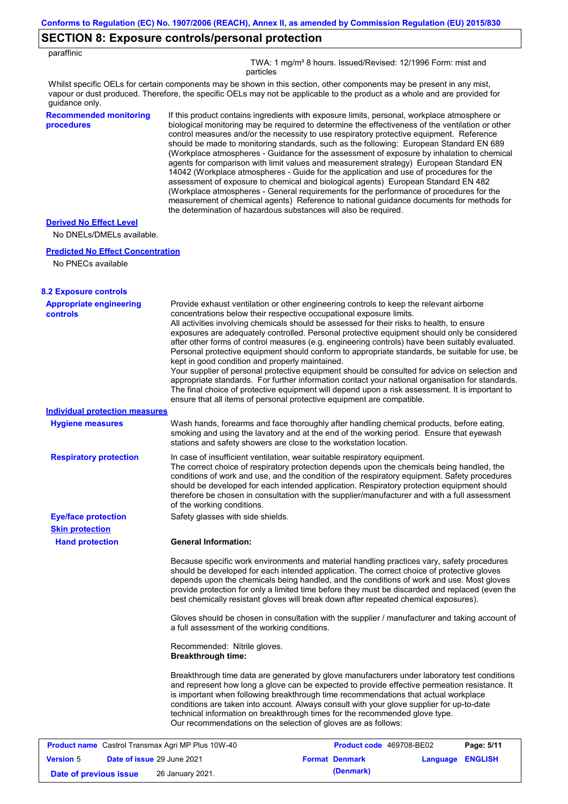# **SECTION 8: Exposure controls/personal protection**

| paraffinic                                                  |                                                                                                                                                                                                                                                                                                                                                                                                                                                                                                                                                                                                                                                                                                                                                                                                                                                                                                                                                                                                                            |  |  |  |
|-------------------------------------------------------------|----------------------------------------------------------------------------------------------------------------------------------------------------------------------------------------------------------------------------------------------------------------------------------------------------------------------------------------------------------------------------------------------------------------------------------------------------------------------------------------------------------------------------------------------------------------------------------------------------------------------------------------------------------------------------------------------------------------------------------------------------------------------------------------------------------------------------------------------------------------------------------------------------------------------------------------------------------------------------------------------------------------------------|--|--|--|
|                                                             | TWA: 1 mg/m <sup>3</sup> 8 hours. Issued/Revised: 12/1996 Form: mist and<br>particles                                                                                                                                                                                                                                                                                                                                                                                                                                                                                                                                                                                                                                                                                                                                                                                                                                                                                                                                      |  |  |  |
| guidance only.                                              | Whilst specific OELs for certain components may be shown in this section, other components may be present in any mist,<br>vapour or dust produced. Therefore, the specific OELs may not be applicable to the product as a whole and are provided for                                                                                                                                                                                                                                                                                                                                                                                                                                                                                                                                                                                                                                                                                                                                                                       |  |  |  |
| <b>Recommended monitoring</b><br>procedures                 | If this product contains ingredients with exposure limits, personal, workplace atmosphere or<br>biological monitoring may be required to determine the effectiveness of the ventilation or other<br>control measures and/or the necessity to use respiratory protective equipment. Reference<br>should be made to monitoring standards, such as the following: European Standard EN 689<br>(Workplace atmospheres - Guidance for the assessment of exposure by inhalation to chemical<br>agents for comparison with limit values and measurement strategy) European Standard EN<br>14042 (Workplace atmospheres - Guide for the application and use of procedures for the<br>assessment of exposure to chemical and biological agents) European Standard EN 482<br>(Workplace atmospheres - General requirements for the performance of procedures for the<br>measurement of chemical agents) Reference to national guidance documents for methods for<br>the determination of hazardous substances will also be required. |  |  |  |
| <b>Derived No Effect Level</b><br>No DNELs/DMELs available. |                                                                                                                                                                                                                                                                                                                                                                                                                                                                                                                                                                                                                                                                                                                                                                                                                                                                                                                                                                                                                            |  |  |  |
| <b>Predicted No Effect Concentration</b>                    |                                                                                                                                                                                                                                                                                                                                                                                                                                                                                                                                                                                                                                                                                                                                                                                                                                                                                                                                                                                                                            |  |  |  |
| No PNECs available                                          |                                                                                                                                                                                                                                                                                                                                                                                                                                                                                                                                                                                                                                                                                                                                                                                                                                                                                                                                                                                                                            |  |  |  |
| <b>8.2 Exposure controls</b>                                |                                                                                                                                                                                                                                                                                                                                                                                                                                                                                                                                                                                                                                                                                                                                                                                                                                                                                                                                                                                                                            |  |  |  |
| <b>Appropriate engineering</b><br><b>controls</b>           | Provide exhaust ventilation or other engineering controls to keep the relevant airborne<br>concentrations below their respective occupational exposure limits.<br>All activities involving chemicals should be assessed for their risks to health, to ensure<br>exposures are adequately controlled. Personal protective equipment should only be considered<br>after other forms of control measures (e.g. engineering controls) have been suitably evaluated.<br>Personal protective equipment should conform to appropriate standards, be suitable for use, be<br>kept in good condition and properly maintained.<br>Your supplier of personal protective equipment should be consulted for advice on selection and<br>appropriate standards. For further information contact your national organisation for standards.<br>The final choice of protective equipment will depend upon a risk assessment. It is important to<br>ensure that all items of personal protective equipment are compatible.                    |  |  |  |
| <b>Individual protection measures</b>                       |                                                                                                                                                                                                                                                                                                                                                                                                                                                                                                                                                                                                                                                                                                                                                                                                                                                                                                                                                                                                                            |  |  |  |
| <b>Hygiene measures</b>                                     | Wash hands, forearms and face thoroughly after handling chemical products, before eating,<br>smoking and using the lavatory and at the end of the working period. Ensure that eyewash<br>stations and safety showers are close to the workstation location.                                                                                                                                                                                                                                                                                                                                                                                                                                                                                                                                                                                                                                                                                                                                                                |  |  |  |
| <b>Respiratory protection</b>                               | In case of insufficient ventilation, wear suitable respiratory equipment.<br>The correct choice of respiratory protection depends upon the chemicals being handled, the<br>conditions of work and use, and the condition of the respiratory equipment. Safety procedures<br>should be developed for each intended application. Respiratory protection equipment should<br>therefore be chosen in consultation with the supplier/manufacturer and with a full assessment<br>of the working conditions.                                                                                                                                                                                                                                                                                                                                                                                                                                                                                                                      |  |  |  |
| <b>Eye/face protection</b>                                  | Safety glasses with side shields.                                                                                                                                                                                                                                                                                                                                                                                                                                                                                                                                                                                                                                                                                                                                                                                                                                                                                                                                                                                          |  |  |  |
| <b>Skin protection</b><br><b>Hand protection</b>            | <b>General Information:</b>                                                                                                                                                                                                                                                                                                                                                                                                                                                                                                                                                                                                                                                                                                                                                                                                                                                                                                                                                                                                |  |  |  |
|                                                             | Because specific work environments and material handling practices vary, safety procedures<br>should be developed for each intended application. The correct choice of protective gloves<br>depends upon the chemicals being handled, and the conditions of work and use. Most gloves<br>provide protection for only a limited time before they must be discarded and replaced (even the<br>best chemically resistant gloves will break down after repeated chemical exposures).                                                                                                                                                                                                                                                                                                                                                                                                                                                                                                                                           |  |  |  |
|                                                             | Gloves should be chosen in consultation with the supplier / manufacturer and taking account of<br>a full assessment of the working conditions.                                                                                                                                                                                                                                                                                                                                                                                                                                                                                                                                                                                                                                                                                                                                                                                                                                                                             |  |  |  |
|                                                             | Recommended: Nitrile gloves.<br><b>Breakthrough time:</b>                                                                                                                                                                                                                                                                                                                                                                                                                                                                                                                                                                                                                                                                                                                                                                                                                                                                                                                                                                  |  |  |  |
|                                                             | Breakthrough time data are generated by glove manufacturers under laboratory test conditions<br>and represent how long a glove can be expected to provide effective permeation resistance. It<br>is important when following breakthrough time recommendations that actual workplace<br>conditions are taken into account. Always consult with your glove supplier for up-to-date<br>technical information on breakthrough times for the recommended glove type.<br>Our recommendations on the selection of gloves are as follows:                                                                                                                                                                                                                                                                                                                                                                                                                                                                                         |  |  |  |
| <b>Product name</b> Castrol Transmax Agri MP Plus 10W-40    | Product code 469708-BE02<br>Page: 5/11                                                                                                                                                                                                                                                                                                                                                                                                                                                                                                                                                                                                                                                                                                                                                                                                                                                                                                                                                                                     |  |  |  |
| <b>Version 5</b><br>Date of issue 29 June 2021              | <b>Format Denmark</b><br>Language ENGLISH                                                                                                                                                                                                                                                                                                                                                                                                                                                                                                                                                                                                                                                                                                                                                                                                                                                                                                                                                                                  |  |  |  |
| Date of previous issue                                      | (Denmark)<br>26 January 2021.                                                                                                                                                                                                                                                                                                                                                                                                                                                                                                                                                                                                                                                                                                                                                                                                                                                                                                                                                                                              |  |  |  |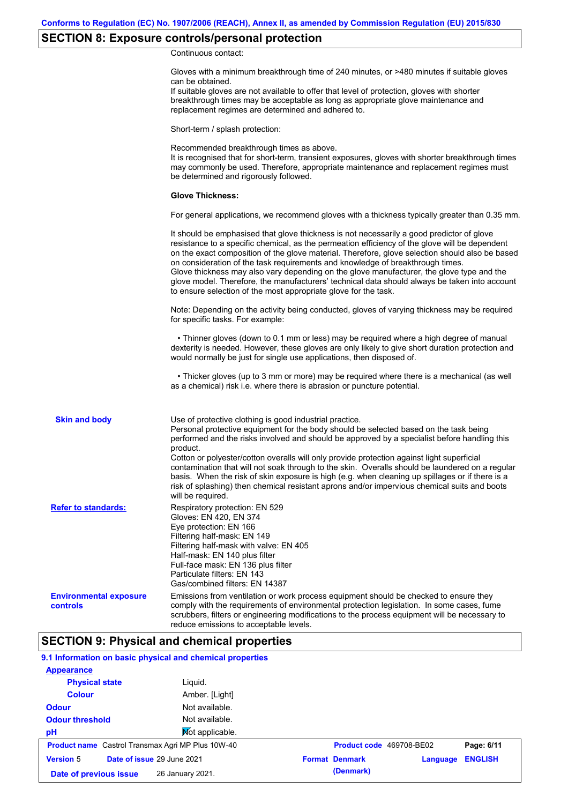# **SECTION 8: Exposure controls/personal protection**

Continuous contact:

|                                           | Gloves with a minimum breakthrough time of 240 minutes, or >480 minutes if suitable gloves<br>can be obtained.<br>If suitable gloves are not available to offer that level of protection, gloves with shorter<br>breakthrough times may be acceptable as long as appropriate glove maintenance and<br>replacement regimes are determined and adhered to.                                                                                                                                                                                                                                                                                                                              |
|-------------------------------------------|---------------------------------------------------------------------------------------------------------------------------------------------------------------------------------------------------------------------------------------------------------------------------------------------------------------------------------------------------------------------------------------------------------------------------------------------------------------------------------------------------------------------------------------------------------------------------------------------------------------------------------------------------------------------------------------|
|                                           | Short-term / splash protection:                                                                                                                                                                                                                                                                                                                                                                                                                                                                                                                                                                                                                                                       |
|                                           | Recommended breakthrough times as above.<br>It is recognised that for short-term, transient exposures, gloves with shorter breakthrough times<br>may commonly be used. Therefore, appropriate maintenance and replacement regimes must<br>be determined and rigorously followed.                                                                                                                                                                                                                                                                                                                                                                                                      |
|                                           | <b>Glove Thickness:</b>                                                                                                                                                                                                                                                                                                                                                                                                                                                                                                                                                                                                                                                               |
|                                           | For general applications, we recommend gloves with a thickness typically greater than 0.35 mm.                                                                                                                                                                                                                                                                                                                                                                                                                                                                                                                                                                                        |
|                                           | It should be emphasised that glove thickness is not necessarily a good predictor of glove<br>resistance to a specific chemical, as the permeation efficiency of the glove will be dependent<br>on the exact composition of the glove material. Therefore, glove selection should also be based<br>on consideration of the task requirements and knowledge of breakthrough times.<br>Glove thickness may also vary depending on the glove manufacturer, the glove type and the<br>glove model. Therefore, the manufacturers' technical data should always be taken into account<br>to ensure selection of the most appropriate glove for the task.                                     |
|                                           | Note: Depending on the activity being conducted, gloves of varying thickness may be required<br>for specific tasks. For example:                                                                                                                                                                                                                                                                                                                                                                                                                                                                                                                                                      |
|                                           | • Thinner gloves (down to 0.1 mm or less) may be required where a high degree of manual<br>dexterity is needed. However, these gloves are only likely to give short duration protection and<br>would normally be just for single use applications, then disposed of.                                                                                                                                                                                                                                                                                                                                                                                                                  |
|                                           | • Thicker gloves (up to 3 mm or more) may be required where there is a mechanical (as well<br>as a chemical) risk i.e. where there is abrasion or puncture potential.                                                                                                                                                                                                                                                                                                                                                                                                                                                                                                                 |
| <b>Skin and body</b>                      | Use of protective clothing is good industrial practice.<br>Personal protective equipment for the body should be selected based on the task being<br>performed and the risks involved and should be approved by a specialist before handling this<br>product.<br>Cotton or polyester/cotton overalls will only provide protection against light superficial<br>contamination that will not soak through to the skin. Overalls should be laundered on a regular<br>basis. When the risk of skin exposure is high (e.g. when cleaning up spillages or if there is a<br>risk of splashing) then chemical resistant aprons and/or impervious chemical suits and boots<br>will be required. |
| <b>Refer to standards:</b>                | Respiratory protection: EN 529<br>Gloves: EN 420, EN 374<br>Eye protection: EN 166<br>Filtering half-mask: EN 149<br>Filtering half-mask with valve: EN 405<br>Half-mask: EN 140 plus filter<br>Full-face mask: EN 136 plus filter<br>Particulate filters: EN 143<br>Gas/combined filters: EN 14387                                                                                                                                                                                                                                                                                                                                                                                   |
| <b>Environmental exposure</b><br>controls | Emissions from ventilation or work process equipment should be checked to ensure they<br>comply with the requirements of environmental protection legislation. In some cases, fume<br>scrubbers, filters or engineering modifications to the process equipment will be necessary to<br>reduce emissions to acceptable levels.                                                                                                                                                                                                                                                                                                                                                         |

## **SECTION 9: Physical and chemical properties**

### **9.1 Information on basic physical and chemical properties**

| <b>Appearance</b>                                        |                  |                          |          |                |
|----------------------------------------------------------|------------------|--------------------------|----------|----------------|
| <b>Physical state</b>                                    | Liguid.          |                          |          |                |
| <b>Colour</b>                                            | Amber. [Light]   |                          |          |                |
| <b>Odour</b>                                             | Not available.   |                          |          |                |
| <b>Odour threshold</b>                                   | Not available.   |                          |          |                |
| pH                                                       | Not applicable.  |                          |          |                |
| <b>Product name</b> Castrol Transmax Agri MP Plus 10W-40 |                  | Product code 469708-BE02 |          | Page: 6/11     |
| <b>Version 5</b><br>Date of issue 29 June 2021           |                  | <b>Format Denmark</b>    | Language | <b>ENGLISH</b> |
| Date of previous issue                                   | 26 January 2021. | (Denmark)                |          |                |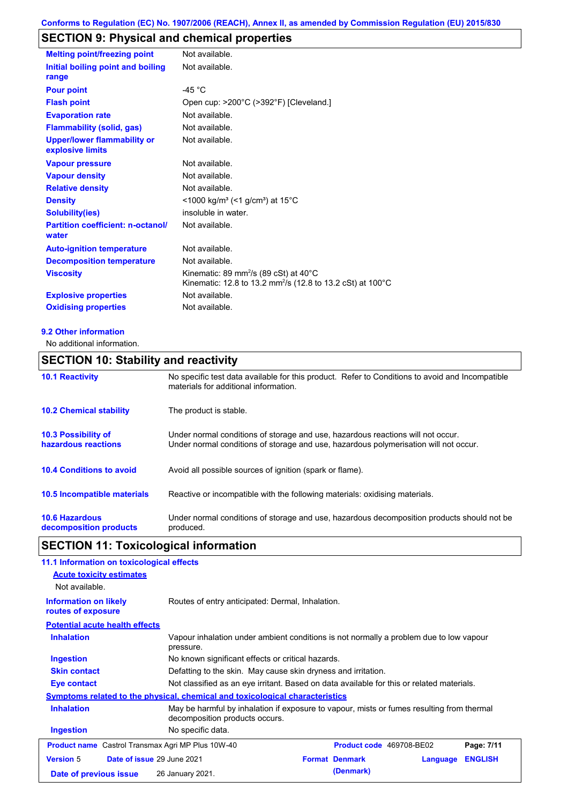# **SECTION 9: Physical and chemical properties**

| <b>Melting point/freezing point</b>                    | Not available.                                                                                                                         |
|--------------------------------------------------------|----------------------------------------------------------------------------------------------------------------------------------------|
| Initial boiling point and boiling<br>range             | Not available.                                                                                                                         |
| <b>Pour point</b>                                      | -45 $^{\circ}$ C                                                                                                                       |
| <b>Flash point</b>                                     | Open cup: >200°C (>392°F) [Cleveland.]                                                                                                 |
| <b>Evaporation rate</b>                                | Not available.                                                                                                                         |
| <b>Flammability (solid, gas)</b>                       | Not available.                                                                                                                         |
| <b>Upper/lower flammability or</b><br>explosive limits | Not available.                                                                                                                         |
| <b>Vapour pressure</b>                                 | Not available.                                                                                                                         |
| <b>Vapour density</b>                                  | Not available.                                                                                                                         |
| <b>Relative density</b>                                | Not available.                                                                                                                         |
| <b>Density</b>                                         | <1000 kg/m <sup>3</sup> (<1 g/cm <sup>3</sup> ) at 15 <sup>°</sup> C                                                                   |
| <b>Solubility(ies)</b>                                 | insoluble in water.                                                                                                                    |
| <b>Partition coefficient: n-octanol/</b><br>water      | Not available.                                                                                                                         |
| <b>Auto-ignition temperature</b>                       | Not available.                                                                                                                         |
| <b>Decomposition temperature</b>                       | Not available.                                                                                                                         |
| <b>Viscosity</b>                                       | Kinematic: 89 mm <sup>2</sup> /s (89 cSt) at $40^{\circ}$ C<br>Kinematic: 12.8 to 13.2 mm <sup>2</sup> /s (12.8 to 13.2 cSt) at 100 °C |
| <b>Explosive properties</b>                            | Not available.                                                                                                                         |
| <b>Oxidising properties</b>                            | Not available.                                                                                                                         |

#### **9.2 Other information**

No additional information.

## **SECTION 10: Stability and reactivity**

| <b>10.1 Reactivity</b>                            | No specific test data available for this product. Refer to Conditions to avoid and Incompatible<br>materials for additional information.                                |
|---------------------------------------------------|-------------------------------------------------------------------------------------------------------------------------------------------------------------------------|
| <b>10.2 Chemical stability</b>                    | The product is stable.                                                                                                                                                  |
| <b>10.3 Possibility of</b><br>hazardous reactions | Under normal conditions of storage and use, hazardous reactions will not occur.<br>Under normal conditions of storage and use, hazardous polymerisation will not occur. |
| <b>10.4 Conditions to avoid</b>                   | Avoid all possible sources of ignition (spark or flame).                                                                                                                |
| 10.5 Incompatible materials                       | Reactive or incompatible with the following materials: oxidising materials.                                                                                             |
| <b>10.6 Hazardous</b><br>decomposition products   | Under normal conditions of storage and use, hazardous decomposition products should not be<br>produced.                                                                 |

# **SECTION 11: Toxicological information**

| 11.1 Information on toxicological effects                |                                                                                                                             |  |                          |          |                |
|----------------------------------------------------------|-----------------------------------------------------------------------------------------------------------------------------|--|--------------------------|----------|----------------|
| <b>Acute toxicity estimates</b>                          |                                                                                                                             |  |                          |          |                |
| Not available.                                           |                                                                                                                             |  |                          |          |                |
| <b>Information on likely</b><br>routes of exposure       | Routes of entry anticipated: Dermal, Inhalation.                                                                            |  |                          |          |                |
| <b>Potential acute health effects</b>                    |                                                                                                                             |  |                          |          |                |
| <b>Inhalation</b>                                        | Vapour inhalation under ambient conditions is not normally a problem due to low vapour<br>pressure.                         |  |                          |          |                |
| <b>Ingestion</b>                                         | No known significant effects or critical hazards.                                                                           |  |                          |          |                |
| <b>Skin contact</b>                                      | Defatting to the skin. May cause skin dryness and irritation.                                                               |  |                          |          |                |
| Eye contact                                              | Not classified as an eye irritant. Based on data available for this or related materials.                                   |  |                          |          |                |
|                                                          | Symptoms related to the physical, chemical and toxicological characteristics                                                |  |                          |          |                |
| <b>Inhalation</b>                                        | May be harmful by inhalation if exposure to vapour, mists or fumes resulting from thermal<br>decomposition products occurs. |  |                          |          |                |
| <b>Ingestion</b>                                         | No specific data.                                                                                                           |  |                          |          |                |
| <b>Product name</b> Castrol Transmax Agri MP Plus 10W-40 |                                                                                                                             |  | Product code 469708-BE02 |          | Page: 7/11     |
| Date of issue 29 June 2021<br><b>Version 5</b>           |                                                                                                                             |  | <b>Format Denmark</b>    | Language | <b>ENGLISH</b> |
| Date of previous issue                                   | 26 January 2021.                                                                                                            |  | (Denmark)                |          |                |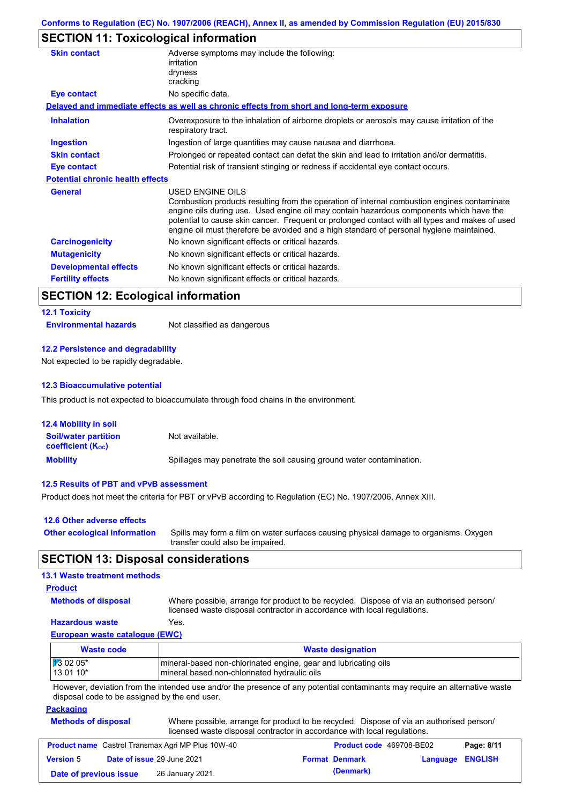# **SECTION 11: Toxicological information**

| <b>Skin contact</b>                     | Adverse symptoms may include the following:<br>irritation                                                                                                                                                                                                                                                                                                                                                |
|-----------------------------------------|----------------------------------------------------------------------------------------------------------------------------------------------------------------------------------------------------------------------------------------------------------------------------------------------------------------------------------------------------------------------------------------------------------|
|                                         | dryness<br>cracking                                                                                                                                                                                                                                                                                                                                                                                      |
| Eye contact                             | No specific data.                                                                                                                                                                                                                                                                                                                                                                                        |
|                                         | Delayed and immediate effects as well as chronic effects from short and long-term exposure                                                                                                                                                                                                                                                                                                               |
|                                         |                                                                                                                                                                                                                                                                                                                                                                                                          |
| <b>Inhalation</b>                       | Overexposure to the inhalation of airborne droplets or aerosols may cause irritation of the<br>respiratory tract.                                                                                                                                                                                                                                                                                        |
| <b>Ingestion</b>                        | Ingestion of large quantities may cause nausea and diarrhoea.                                                                                                                                                                                                                                                                                                                                            |
| <b>Skin contact</b>                     | Prolonged or repeated contact can defat the skin and lead to irritation and/or dermatitis.                                                                                                                                                                                                                                                                                                               |
| Eye contact                             | Potential risk of transient stinging or redness if accidental eye contact occurs.                                                                                                                                                                                                                                                                                                                        |
| <b>Potential chronic health effects</b> |                                                                                                                                                                                                                                                                                                                                                                                                          |
| <b>General</b>                          | USED ENGINE OILS<br>Combustion products resulting from the operation of internal combustion engines contaminate<br>engine oils during use. Used engine oil may contain hazardous components which have the<br>potential to cause skin cancer. Frequent or prolonged contact with all types and makes of used<br>engine oil must therefore be avoided and a high standard of personal hygiene maintained. |
| <b>Carcinogenicity</b>                  | No known significant effects or critical hazards.                                                                                                                                                                                                                                                                                                                                                        |
| <b>Mutagenicity</b>                     | No known significant effects or critical hazards.                                                                                                                                                                                                                                                                                                                                                        |
| <b>Developmental effects</b>            | No known significant effects or critical hazards.                                                                                                                                                                                                                                                                                                                                                        |
| <b>Fertility effects</b>                | No known significant effects or critical hazards.                                                                                                                                                                                                                                                                                                                                                        |

### **SECTION 12: Ecological information**

#### **12.1 Toxicity**

**Environmental hazards** Not classified as dangerous

#### **12.2 Persistence and degradability**

Not expected to be rapidly degradable.

#### **12.3 Bioaccumulative potential**

This product is not expected to bioaccumulate through food chains in the environment.

| <b>12.4 Mobility in soil</b>                            |                                                                      |
|---------------------------------------------------------|----------------------------------------------------------------------|
| <b>Soil/water partition</b><br><b>coefficient (Koc)</b> | Not available.                                                       |
| <b>Mobility</b>                                         | Spillages may penetrate the soil causing ground water contamination. |

#### **12.5 Results of PBT and vPvB assessment**

Product does not meet the criteria for PBT or vPvB according to Regulation (EC) No. 1907/2006, Annex XIII.

| 12.6 Other adverse effects          |                                                                                                                           |
|-------------------------------------|---------------------------------------------------------------------------------------------------------------------------|
| <b>Other ecological information</b> | Spills may form a film on water surfaces causing physical damage to organisms. Oxygen<br>transfer could also be impaired. |

### **SECTION 13: Disposal considerations**

#### **13.1 Waste treatment methods**

### **Product**

**Methods of disposal**

Where possible, arrange for product to be recycled. Dispose of via an authorised person/

#### **Hazardous waste** Yes.

licensed waste disposal contractor in accordance with local regulations.

### **European waste catalogue (EWC)**

| Waste code         | <b>Waste designation</b>                                        |
|--------------------|-----------------------------------------------------------------|
| $\sqrt{13}$ 02 05* | mineral-based non-chlorinated engine, gear and lubricating oils |
| 13 01 10*          | mineral based non-chlorinated hydraulic oils                    |

However, deviation from the intended use and/or the presence of any potential contaminants may require an alternative waste disposal code to be assigned by the end user.

#### **Packaging**

| <b>Methods of disposal</b> | Where possible, arrange for product to be recycled. Dispose of via an authorised person/ |
|----------------------------|------------------------------------------------------------------------------------------|
|                            | licensed waste disposal contractor in accordance with local regulations.                 |

| <b>Product name</b> Castrol Transmax Agri MP Plus 10W-40 |  | <b>Product code</b> 469708-BE02   |  | Page: 8/11            |                         |  |
|----------------------------------------------------------|--|-----------------------------------|--|-----------------------|-------------------------|--|
| <b>Version 5</b>                                         |  | <b>Date of issue 29 June 2021</b> |  | <b>Format Denmark</b> | <b>Language ENGLISH</b> |  |
| Date of previous issue                                   |  | 26 January 2021.                  |  | (Denmark)             |                         |  |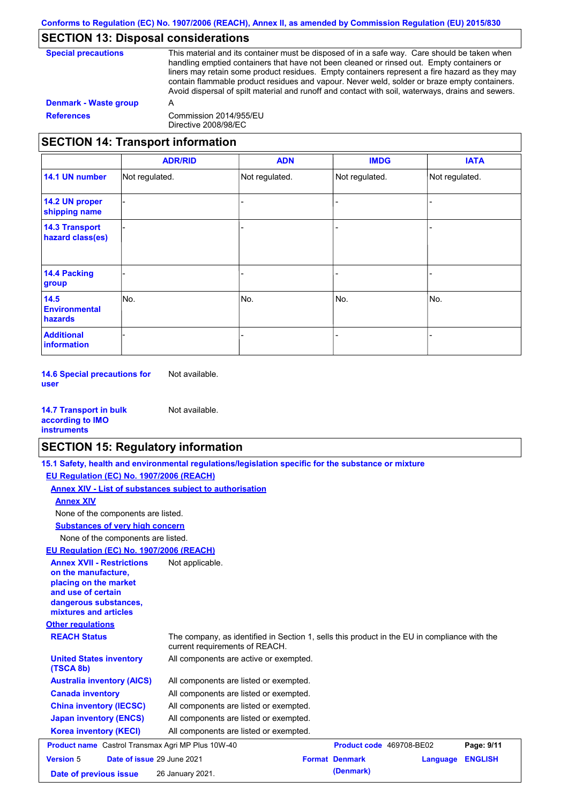### **SECTION 13: Disposal considerations**

| <b>Special precautions</b> | This material and its container must be disposed of in a safe way. Care should be taken when<br>handling emptied containers that have not been cleaned or rinsed out. Empty containers or<br>liners may retain some product residues. Empty containers represent a fire hazard as they may<br>contain flammable product residues and vapour. Never weld, solder or braze empty containers.<br>Avoid dispersal of spilt material and runoff and contact with soil, waterways, drains and sewers. |
|----------------------------|-------------------------------------------------------------------------------------------------------------------------------------------------------------------------------------------------------------------------------------------------------------------------------------------------------------------------------------------------------------------------------------------------------------------------------------------------------------------------------------------------|
| Denmark - Waste group      | А                                                                                                                                                                                                                                                                                                                                                                                                                                                                                               |
| <b>References</b>          | Commission 2014/955/EU<br>Directive 2008/98/EC                                                                                                                                                                                                                                                                                                                                                                                                                                                  |

# **SECTION 14: Transport information**

|                                                | <b>ADR/RID</b> | <b>ADN</b>     | <b>IMDG</b>    | <b>IATA</b>    |
|------------------------------------------------|----------------|----------------|----------------|----------------|
| 14.1 UN number                                 | Not regulated. | Not regulated. | Not regulated. | Not regulated. |
| 14.2 UN proper<br>shipping name                |                |                |                |                |
| <b>14.3 Transport</b><br>hazard class(es)      |                |                |                |                |
| 14.4 Packing<br>group                          |                |                |                |                |
| 14.5<br><b>Environmental</b><br><b>hazards</b> | No.            | No.            | No.            | No.            |
| <b>Additional</b><br>information               |                |                |                |                |

**14.6 Special precautions for user** Not available.

| <b>14.7 Transport in bulk</b> | Not available. |
|-------------------------------|----------------|
| according to IMO              |                |
| <b>instruments</b>            |                |

### **SECTION 15: Regulatory information**

**15.1 Safety, health and environmental regulations/legislation specific for the substance or mixture**

**EU Regulation (EC) No. 1907/2006 (REACH)**

**Other regulations REACH Status** The company, as identified in Section 1, sells this product in the EU in compliance with the current requirements of REACH. **Annex XIV - List of substances subject to authorisation Substances of very high concern** None of the components are listed. All components are listed or exempted. All components are listed or exempted. All components are listed or exempted. All components are listed or exempted. All components are active or exempted. All components are listed or exempted. **United States inventory (TSCA 8b) Australia inventory (AICS) Canada inventory China inventory (IECSC) Japan inventory (ENCS) Korea inventory (KECI)** None of the components are listed. **Annex XIV EU Regulation (EC) No. 1907/2006 (REACH) Annex XVII - Restrictions on the manufacture, placing on the market and use of certain dangerous substances, mixtures and articles** Not applicable. **Product name** Castrol Transmax Agri MP Plus 10W-40 **Product code** 469708-BE02 **Page: 9/11 Version** 5 **Date of issue** 29 June 2021 **Format Denmark Language ENGLISH Date of previous issue** 26 January 2021. **Commark** (Denmark)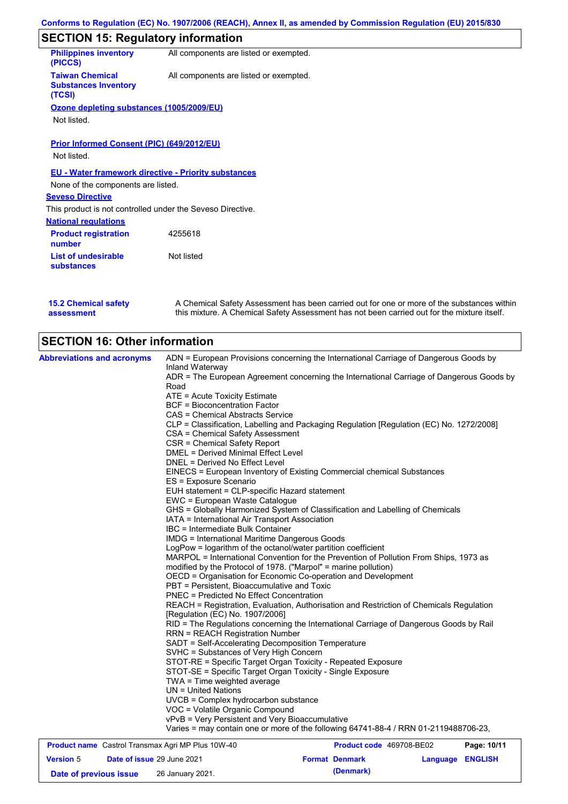# **SECTION 15: Regulatory information**

| <b>Philippines inventory</b><br>(PICCS)                         | All components are listed or exempted. |
|-----------------------------------------------------------------|----------------------------------------|
| <b>Taiwan Chemical</b><br><b>Substances Inventory</b><br>(TCSI) | All components are listed or exempted. |
| Ozone depleting substances (1005/2009/EU)                       |                                        |
| Not listed.                                                     |                                        |
|                                                                 |                                        |
| Prior Informed Consent (PIC) (649/2012/EU)                      |                                        |
| Not listed.                                                     |                                        |
| <b>EU - Water framework directive - Priority substances</b>     |                                        |
| None of the components are listed.                              |                                        |
| <b>Seveso Directive</b>                                         |                                        |
| This product is not controlled under the Seveso Directive.      |                                        |
|                                                                 |                                        |

| 4255618    |                                                      |
|------------|------------------------------------------------------|
| Not listed |                                                      |
|            | This product is not componed and or the serious Bird |

**15.2 Chemical safety assessment**

A Chemical Safety Assessment has been carried out for one or more of the substances within this mixture. A Chemical Safety Assessment has not been carried out for the mixture itself.

# **SECTION 16: Other information**

| <b>Abbreviations and acronyms</b> | ADN = European Provisions concerning the International Carriage of Dangerous Goods by                        |
|-----------------------------------|--------------------------------------------------------------------------------------------------------------|
|                                   | Inland Waterway                                                                                              |
|                                   | ADR = The European Agreement concerning the International Carriage of Dangerous Goods by<br>Road             |
|                                   | ATE = Acute Toxicity Estimate                                                                                |
|                                   | <b>BCF</b> = Bioconcentration Factor                                                                         |
|                                   | CAS = Chemical Abstracts Service                                                                             |
|                                   | CLP = Classification, Labelling and Packaging Regulation [Regulation (EC) No. 1272/2008]                     |
|                                   | CSA = Chemical Safety Assessment                                                                             |
|                                   | CSR = Chemical Safety Report                                                                                 |
|                                   | DMEL = Derived Minimal Effect Level                                                                          |
|                                   | DNEL = Derived No Effect Level                                                                               |
|                                   | EINECS = European Inventory of Existing Commercial chemical Substances                                       |
|                                   | ES = Exposure Scenario                                                                                       |
|                                   | EUH statement = CLP-specific Hazard statement                                                                |
|                                   | EWC = European Waste Catalogue                                                                               |
|                                   | GHS = Globally Harmonized System of Classification and Labelling of Chemicals                                |
|                                   | IATA = International Air Transport Association                                                               |
|                                   | IBC = Intermediate Bulk Container                                                                            |
|                                   | IMDG = International Maritime Dangerous Goods                                                                |
|                                   | LogPow = logarithm of the octanol/water partition coefficient                                                |
|                                   | MARPOL = International Convention for the Prevention of Pollution From Ships, 1973 as                        |
|                                   | modified by the Protocol of 1978. ("Marpol" = marine pollution)                                              |
|                                   | OECD = Organisation for Economic Co-operation and Development<br>PBT = Persistent, Bioaccumulative and Toxic |
|                                   | <b>PNEC = Predicted No Effect Concentration</b>                                                              |
|                                   | REACH = Registration, Evaluation, Authorisation and Restriction of Chemicals Regulation                      |
|                                   | [Regulation (EC) No. 1907/2006]                                                                              |
|                                   | RID = The Regulations concerning the International Carriage of Dangerous Goods by Rail                       |
|                                   | <b>RRN = REACH Registration Number</b>                                                                       |
|                                   | SADT = Self-Accelerating Decomposition Temperature                                                           |
|                                   | SVHC = Substances of Very High Concern                                                                       |
|                                   | STOT-RE = Specific Target Organ Toxicity - Repeated Exposure                                                 |
|                                   | STOT-SE = Specific Target Organ Toxicity - Single Exposure                                                   |
|                                   | TWA = Time weighted average                                                                                  |
|                                   | UN = United Nations                                                                                          |
|                                   | UVCB = Complex hydrocarbon substance                                                                         |
|                                   | VOC = Volatile Organic Compound                                                                              |
|                                   | vPvB = Very Persistent and Very Bioaccumulative                                                              |
|                                   | Varies = may contain one or more of the following 64741-88-4 / RRN 01-2119488706-23,                         |

| <b>Product name</b> Castrol Transmax Agri MP Plus 10W-40 |  |                                   | <b>Product code</b> 469708-BE02 | Page: 10/11           |                         |  |
|----------------------------------------------------------|--|-----------------------------------|---------------------------------|-----------------------|-------------------------|--|
| <b>Version 5</b>                                         |  | <b>Date of issue 29 June 2021</b> |                                 | <b>Format Denmark</b> | <b>Language ENGLISH</b> |  |
| Date of previous issue                                   |  | 26 January 2021.                  |                                 | (Denmark)             |                         |  |